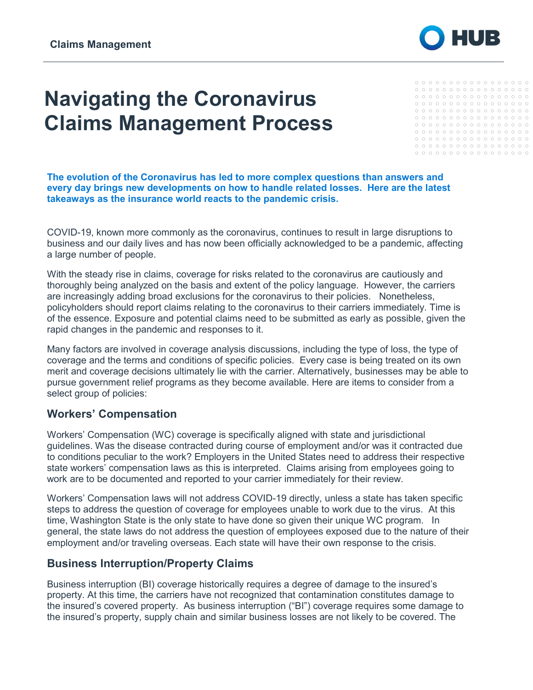

# **Navigating the Coronavirus Claims Management Process**

|  | 0 0 0 0 0 0 0 0 0 0 0 0 0 0 0 0 0 |  |  |  |  |  |  |  |
|--|-----------------------------------|--|--|--|--|--|--|--|
|  |                                   |  |  |  |  |  |  |  |
|  | 0 0 0 0 0 0 0 0 0 0 0 0 0 0 0 0 0 |  |  |  |  |  |  |  |
|  |                                   |  |  |  |  |  |  |  |
|  | 0 0 0 0 0 0 0 0 0 0 0 0 0 0 0 0 0 |  |  |  |  |  |  |  |
|  |                                   |  |  |  |  |  |  |  |
|  | 0 0 0 0 0 0 0 0 0 0 0 0 0 0 0 0 0 |  |  |  |  |  |  |  |
|  |                                   |  |  |  |  |  |  |  |
|  | 0 0 0 0 0 0 0 0 0 0 0 0 0 0 0 0 0 |  |  |  |  |  |  |  |
|  | ,                                 |  |  |  |  |  |  |  |

**The evolution of the Coronavirus has led to more complex questions than answers and every day brings new developments on how to handle related losses. Here are the latest takeaways as the insurance world reacts to the pandemic crisis.**

COVID-19, known more commonly as the coronavirus, continues to result in large disruptions to business and our daily lives and has now been officially acknowledged to be a pandemic, affecting a large number of people.

With the steady rise in claims, coverage for risks related to the coronavirus are cautiously and thoroughly being analyzed on the basis and extent of the policy language. However, the carriers are increasingly adding broad exclusions for the coronavirus to their policies. Nonetheless, policyholders should report claims relating to the coronavirus to their carriers immediately. Time is of the essence. Exposure and potential claims need to be submitted as early as possible, given the rapid changes in the pandemic and responses to it.

Many factors are involved in coverage analysis discussions, including the type of loss, the type of coverage and the terms and conditions of specific policies. Every case is being treated on its own merit and coverage decisions ultimately lie with the carrier. Alternatively, businesses may be able to pursue government relief programs as they become available. Here are items to consider from a select group of policies:

### **Workers' Compensation**

Workers' Compensation (WC) coverage is specifically aligned with state and jurisdictional guidelines. Was the disease contracted during course of employment and/or was it contracted due to conditions peculiar to the work? Employers in the United States need to address their respective state workers' compensation laws as this is interpreted. Claims arising from employees going to work are to be documented and reported to your carrier immediately for their review.

Workers' Compensation laws will not address COVID-19 directly, unless a state has taken specific steps to address the question of coverage for employees unable to work due to the virus. At this time, Washington State is the only state to have done so given their unique WC program. In general, the state laws do not address the question of employees exposed due to the nature of their employment and/or traveling overseas. Each state will have their own response to the crisis.

### **Business Interruption/Property Claims**

Business interruption (BI) coverage historically requires a degree of damage to the insured's property. At this time, the carriers have not recognized that contamination constitutes damage to the insured's covered property. As business interruption ("BI") coverage requires some damage to the insured's property, supply chain and similar business losses are not likely to be covered. The